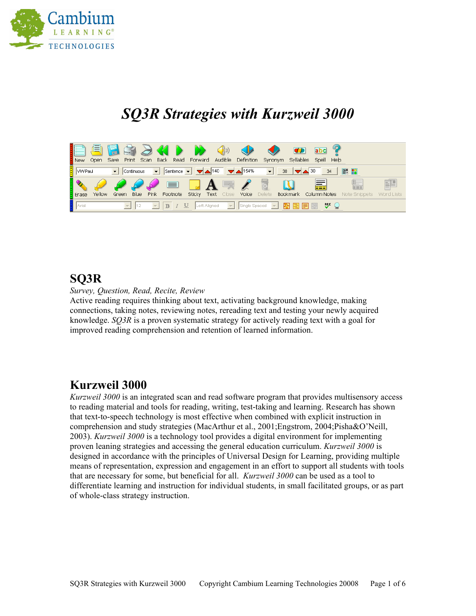

# *SQ3R Strategies with Kurzweil 3000*



#### **SQ3R**

*Survey, Question, Read, Recite, Review*

Active reading requires thinking about text, activating background knowledge, making connections, taking notes, reviewing notes, rereading text and testing your newly acquired knowledge. *SQ3R* is a proven systematic strategy for actively reading text with a goal for improved reading comprehension and retention of learned information.

#### **Kurzweil 3000**

*Kurzweil 3000* is an integrated scan and read software program that provides multisensory access to reading material and tools for reading, writing, test-taking and learning. Research has shown that text-to-speech technology is most effective when combined with explicit instruction in comprehension and study strategies (MacArthur et al., 2001;Engstrom, 2004;Pisha&O'Neill, 2003). *Kurzweil 3000* is a technology tool provides a digital environment for implementing proven leaning strategies and accessing the general education curriculum. *Kurzweil 3000* is designed in accordance with the principles of Universal Design for Learning, providing multiple means of representation, expression and engagement in an effort to support all students with tools that are necessary for some, but beneficial for all. *Kurzweil 3000* can be used as a tool to differentiate learning and instruction for individual students, in small facilitated groups, or as part of whole-class strategy instruction.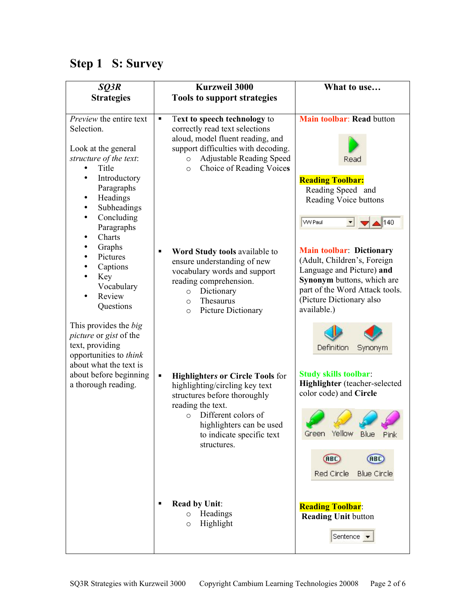## **Step 1 S: Survey**

| SQ3R                                                                                                                                                                                                                                                                                                                             | <b>Kurzweil 3000</b>                                                                                                                                                                                                                           | What to use                                                                                                                                                                                            |
|----------------------------------------------------------------------------------------------------------------------------------------------------------------------------------------------------------------------------------------------------------------------------------------------------------------------------------|------------------------------------------------------------------------------------------------------------------------------------------------------------------------------------------------------------------------------------------------|--------------------------------------------------------------------------------------------------------------------------------------------------------------------------------------------------------|
| <b>Strategies</b>                                                                                                                                                                                                                                                                                                                | <b>Tools to support strategies</b>                                                                                                                                                                                                             |                                                                                                                                                                                                        |
| Preview the entire text<br>Selection.<br>Look at the general<br>structure of the text:<br>Title<br>Introductory<br>Paragraphs<br>Headings<br>Subheadings<br>$\bullet$<br>Concluding<br>$\bullet$<br>Paragraphs<br>Charts<br>Graphs<br>$\bullet$<br>Pictures<br>$\bullet$<br>Captions<br>Key<br>Vocabulary<br>Review<br>Questions | Text to speech technology to<br>٠<br>correctly read text selections<br>aloud, model fluent reading, and<br>support difficulties with decoding.<br><b>Adjustable Reading Speed</b><br>$\circ$<br>Choice of Reading Voices<br>$\circ$            | Main toolbar: Read button<br>Read<br><b>Reading Toolbar:</b><br>Reading Speed and<br>Reading Voice buttons<br><b>WV Paul</b><br>140                                                                    |
|                                                                                                                                                                                                                                                                                                                                  | Word Study tools available to<br>٠<br>ensure understanding of new<br>vocabulary words and support<br>reading comprehension.<br>Dictionary<br>$\circ$<br>Thesaurus<br>$\circ$<br>Picture Dictionary<br>$\circ$                                  | <b>Main toolbar: Dictionary</b><br>(Adult, Children's, Foreign<br>Language and Picture) and<br>Synonym buttons, which are<br>part of the Word Attack tools.<br>(Picture Dictionary also<br>available.) |
| This provides the big<br><i>picture</i> or gist of the<br>text, providing<br>opportunities to think                                                                                                                                                                                                                              |                                                                                                                                                                                                                                                | Definition<br>Synonym                                                                                                                                                                                  |
| about what the text is<br>about before beginning<br>a thorough reading.                                                                                                                                                                                                                                                          | <b>Highlighters or Circle Tools for</b><br>٠<br>highlighting/circling key text<br>structures before thoroughly<br>reading the text.<br>Different colors of<br>$\Omega$<br>highlighters can be used<br>to indicate specific text<br>structures. | <b>Study skills toolbar:</b><br>Highlighter (teacher-selected<br>color code) and Circle<br>Green Yellow<br>Blue<br>Pink                                                                                |
|                                                                                                                                                                                                                                                                                                                                  | <b>Read by Unit:</b><br>п<br>Headings<br>$\circ$<br>Highlight<br>$\circ$                                                                                                                                                                       | (RBC)<br>(ABC)<br>Red Circle<br><b>Blue Circle</b><br><b>Reading Toolbar:</b><br><b>Reading Unit button</b><br>Sentence v                                                                              |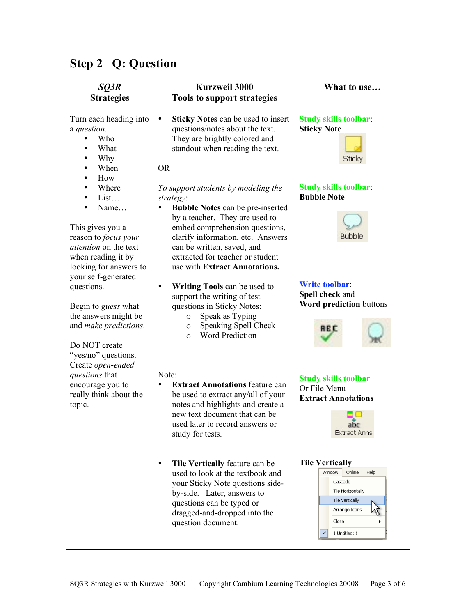| SQ3R                                                                                                                                                              | <b>Kurzweil 3000</b>                                                                                                                                                                                                                                                                                                 | What to use                                                                                                                                      |
|-------------------------------------------------------------------------------------------------------------------------------------------------------------------|----------------------------------------------------------------------------------------------------------------------------------------------------------------------------------------------------------------------------------------------------------------------------------------------------------------------|--------------------------------------------------------------------------------------------------------------------------------------------------|
| <b>Strategies</b>                                                                                                                                                 | <b>Tools to support strategies</b>                                                                                                                                                                                                                                                                                   |                                                                                                                                                  |
| Turn each heading into<br>a question.<br>Who<br>What<br>Why<br>When<br>How                                                                                        | <b>Sticky Notes can be used to insert</b><br>$\bullet$<br>questions/notes about the text.<br>They are brightly colored and<br>standout when reading the text.<br><b>OR</b>                                                                                                                                           | <b>Study skills toolbar:</b><br><b>Sticky Note</b><br><b>Sticky</b>                                                                              |
| Where<br>List<br>Name<br>This gives you a<br>reason to focus your<br>attention on the text<br>when reading it by<br>looking for answers to<br>your self-generated | To support students by modeling the<br>strategy:<br><b>Bubble Notes can be pre-inserted</b><br>$\bullet$<br>by a teacher. They are used to<br>embed comprehension questions,<br>clarify information, etc. Answers<br>can be written, saved, and<br>extracted for teacher or student<br>use with Extract Annotations. | <b>Study skills toolbar:</b><br><b>Bubble Note</b><br><b>Bubble</b>                                                                              |
| questions.<br>Begin to <i>guess</i> what<br>the answers might be<br>and make predictions.<br>Do NOT create<br>"yes/no" questions.<br>Create open-ended            | Writing Tools can be used to<br>$\bullet$<br>support the writing of test<br>questions in Sticky Notes:<br>Speak as Typing<br>$\circ$<br>Speaking Spell Check<br>$\circ$<br><b>Word Prediction</b><br>$\circ$                                                                                                         | <b>Write toolbar:</b><br>Spell check and<br>Word prediction buttons<br><b>REC</b>                                                                |
| questions that<br>encourage you to<br>really think about the<br>topic.                                                                                            | Note:<br><b>Extract Annotations feature can</b><br>$\bullet$<br>be used to extract any/all of your<br>notes and highlights and create a<br>new text document that can be<br>used later to record answers or<br>study for tests.                                                                                      | <b>Study skills toolbar</b><br>Or File Menu<br><b>Extract Annotations</b><br>abc<br><b>Extract Anns</b>                                          |
|                                                                                                                                                                   | Tile Vertically feature can be<br>٠<br>used to look at the textbook and<br>your Sticky Note questions side-<br>by-side. Later, answers to<br>questions can be typed or<br>dragged-and-dropped into the<br>question document.                                                                                         | <b>Tile Vertically</b><br>Online<br>Window<br>Help<br>Cascade<br>Tile Horizontally<br>Tile Vertically<br>Arrange Icons<br>Close<br>1 Untitled: 1 |

# **Step 2 Q: Question**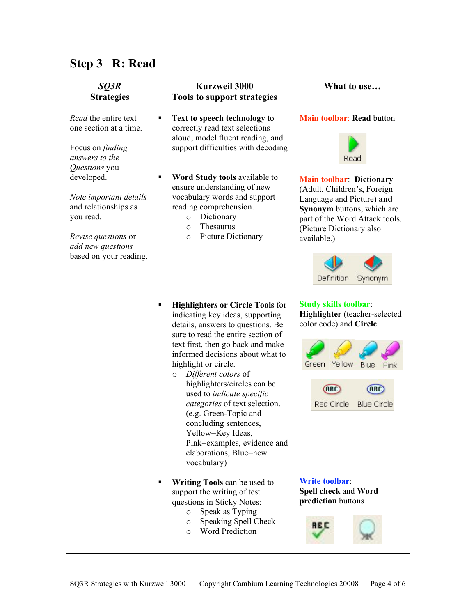## **Step 3 R: Read**

| SQ3R                                                                                                                                                   | <b>Kurzweil 3000</b>                                                                                                                                                                                                                                                                                                                                                                                                                                                                                                                       | What to use                                                                                                                                                                                                                     |
|--------------------------------------------------------------------------------------------------------------------------------------------------------|--------------------------------------------------------------------------------------------------------------------------------------------------------------------------------------------------------------------------------------------------------------------------------------------------------------------------------------------------------------------------------------------------------------------------------------------------------------------------------------------------------------------------------------------|---------------------------------------------------------------------------------------------------------------------------------------------------------------------------------------------------------------------------------|
| <b>Strategies</b>                                                                                                                                      | <b>Tools to support strategies</b>                                                                                                                                                                                                                                                                                                                                                                                                                                                                                                         |                                                                                                                                                                                                                                 |
| Read the entire text<br>one section at a time.<br>Focus on <i>finding</i><br>answers to the<br>Questions you                                           | Text to speech technology to<br>٠<br>correctly read text selections<br>aloud, model fluent reading, and<br>support difficulties with decoding                                                                                                                                                                                                                                                                                                                                                                                              | Main toolbar: Read button<br>Read                                                                                                                                                                                               |
| developed.<br>Note important details<br>and relationships as<br>you read.<br><i>Revise questions</i> or<br>add new questions<br>based on your reading. | Word Study tools available to<br>٠<br>ensure understanding of new<br>vocabulary words and support<br>reading comprehension.<br>Dictionary<br>$\circ$<br>Thesaurus<br>$\circ$<br>Picture Dictionary<br>$\circ$                                                                                                                                                                                                                                                                                                                              | <b>Main toolbar: Dictionary</b><br>(Adult, Children's, Foreign<br>Language and Picture) and<br>Synonym buttons, which are<br>part of the Word Attack tools.<br>(Picture Dictionary also<br>available.)<br>Definition<br>Synonym |
|                                                                                                                                                        | <b>Highlighters or Circle Tools for</b><br>٠<br>indicating key ideas, supporting<br>details, answers to questions. Be<br>sure to read the entire section of<br>text first, then go back and make<br>informed decisions about what to<br>highlight or circle.<br>Different colors of<br>$\circ$<br>highlighters/circles can be<br>used to indicate specific<br>categories of text selection.<br>(e.g. Green-Topic and<br>concluding sentences,<br>Yellow=Key Ideas,<br>Pink=examples, evidence and<br>elaborations, Blue=new<br>vocabulary) | <b>Study skills toolbar:</b><br>Highlighter (teacher-selected<br>color code) and Circle<br>Yellow<br><b>Blue</b><br>Green<br>Pink<br><b>ABC</b><br>ABC<br>Red Circle<br><b>Blue Circle</b>                                      |
|                                                                                                                                                        | Writing Tools can be used to<br>٠<br>support the writing of test<br>questions in Sticky Notes:<br>Speak as Typing<br>$\circ$<br>Speaking Spell Check<br>$\circ$<br><b>Word Prediction</b><br>$\circ$                                                                                                                                                                                                                                                                                                                                       | <b>Write toolbar:</b><br>Spell check and Word<br>prediction buttons<br>A B O                                                                                                                                                    |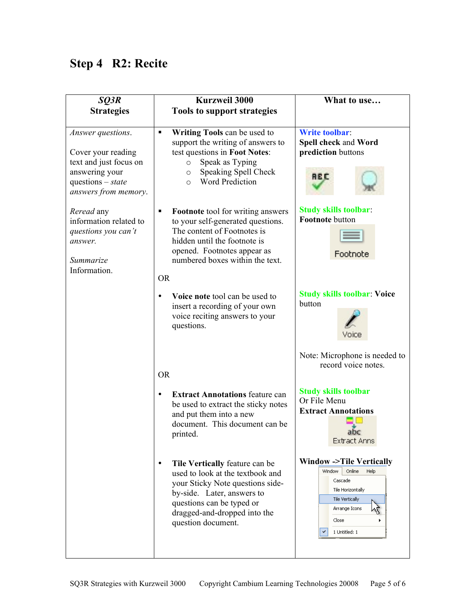## **Step 4 R2: Recite**

| SQ3R<br><b>Strategies</b>                                                                                                          | <b>Kurzweil 3000</b><br><b>Tools to support strategies</b>                                                                                                                                                                           | What to use                                                                                                                                                                  |
|------------------------------------------------------------------------------------------------------------------------------------|--------------------------------------------------------------------------------------------------------------------------------------------------------------------------------------------------------------------------------------|------------------------------------------------------------------------------------------------------------------------------------------------------------------------------|
| Answer questions.<br>Cover your reading<br>text and just focus on<br>answering your<br>questions $- state$<br>answers from memory. | Writing Tools can be used to<br>$\blacksquare$<br>support the writing of answers to<br>test questions in Foot Notes:<br>Speak as Typing<br>$\circ$<br>Speaking Spell Check<br>$\circ$<br><b>Word Prediction</b><br>$\circ$           | <b>Write toolbar:</b><br>Spell check and Word<br>prediction buttons<br>8 B C                                                                                                 |
| Reread any<br>information related to<br>questions you can't<br>answer.<br>Summarize<br>Information.                                | <b>Footnote</b> tool for writing answers<br>٠<br>to your self-generated questions.<br>The content of Footnotes is<br>hidden until the footnote is<br>opened. Footnotes appear as<br>numbered boxes within the text.<br><b>OR</b>     | <b>Study skills toolbar:</b><br>Footnote button<br>Footnote                                                                                                                  |
|                                                                                                                                    | Voice note tool can be used to<br>insert a recording of your own<br>voice reciting answers to your<br>questions.                                                                                                                     | <b>Study skills toolbar: Voice</b><br>button<br>Note: Microphone is needed to                                                                                                |
|                                                                                                                                    | <b>OR</b>                                                                                                                                                                                                                            | record voice notes.                                                                                                                                                          |
|                                                                                                                                    | <b>Extract Annotations feature can</b><br>be used to extract the sticky notes<br>and put them into a new<br>document. This document can be<br>printed.                                                                               | <b>Study skills toolbar</b><br>Or File Menu<br><b>Extract Annotations</b><br>Extract Anns                                                                                    |
|                                                                                                                                    | Tile Vertically feature can be<br>$\bullet$<br>used to look at the textbook and<br>your Sticky Note questions side-<br>by-side. Later, answers to<br>questions can be typed or<br>dragged-and-dropped into the<br>question document. | <b>Window -&gt;Tile Vertically</b><br>Window<br>Online<br>Help<br>Cascade<br>Tile Horizontally<br>Tile Vertically<br>Arrange Icons<br>Close<br>$\checkmark$<br>1 Untitled: 1 |